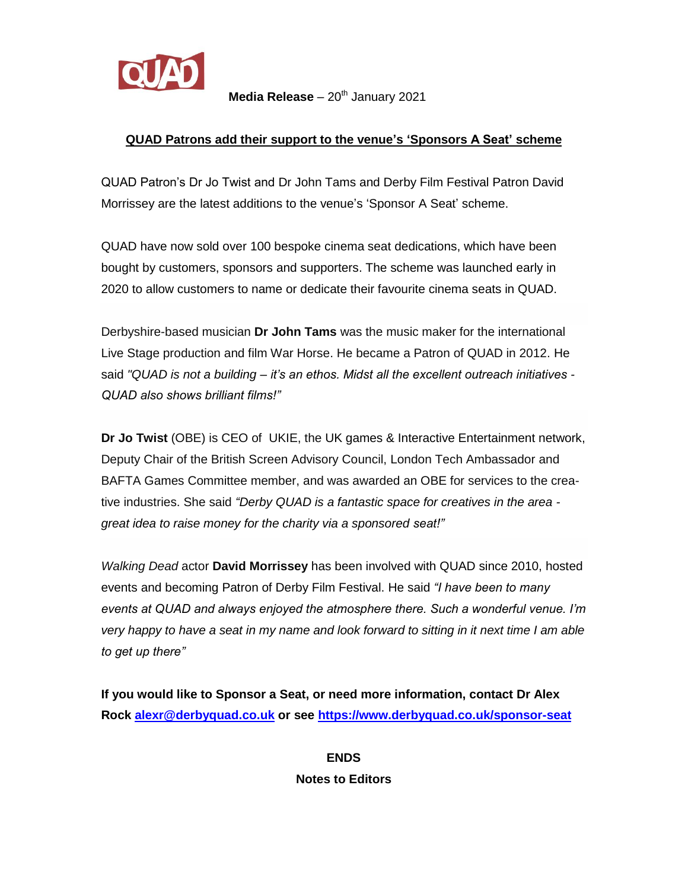

**Media Release** – 20<sup>th</sup> January 2021

## **QUAD Patrons add their support to the venue's 'Sponsors A Seat' scheme**

QUAD Patron's Dr Jo Twist and Dr John Tams and Derby Film Festival Patron David Morrissey are the latest additions to the venue's 'Sponsor A Seat' scheme.

QUAD have now sold over 100 bespoke cinema seat dedications, which have been bought by customers, sponsors and supporters. The scheme was launched early in 2020 to allow customers to name or dedicate their favourite cinema seats in QUAD.

Derbyshire-based musician **Dr John Tams** was the music maker for the international Live Stage production and film War Horse. He became a Patron of QUAD in 2012. He said *"QUAD is not a building – it's an ethos. Midst all the excellent outreach initiatives - QUAD also shows brilliant films!"*

**Dr Jo Twist** (OBE) is CEO of UKIE, the UK games & Interactive Entertainment network, Deputy Chair of the British Screen Advisory Council, London Tech Ambassador and BAFTA Games Committee member, and was awarded an OBE for services to the creative industries. She said *"Derby QUAD is a fantastic space for creatives in the area great idea to raise money for the charity via a sponsored seat!"*

*Walking Dead* actor **David Morrissey** has been involved with QUAD since 2010, hosted events and becoming Patron of Derby Film Festival. He said *"I have been to many events at QUAD and always enjoyed the atmosphere there. Such a wonderful venue. I'm very happy to have a seat in my name and look forward to sitting in it next time I am able to get up there"* 

**If you would like to Sponsor a Seat, or need more information, contact Dr Alex Rock [alexr@derbyquad.co.uk](mailto:alexr@derbyquad.co.uk) or see<https://www.derbyquad.co.uk/sponsor-seat>**

> **ENDS Notes to Editors**